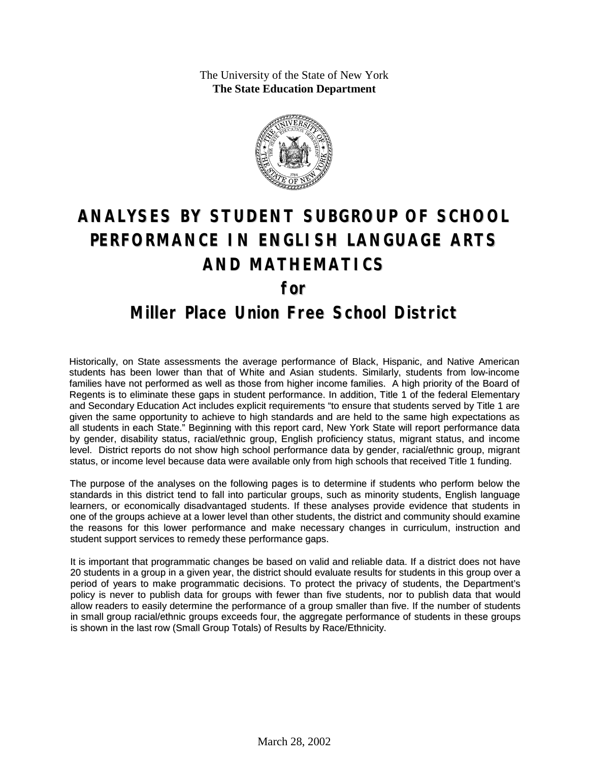The University of the State of New York **The State Education Department**



# **ANALYSES BY STUDENT SUBGROUP OF SCHOOL PERFORMANCE IN ENGLISH LANGUAGE ARTS AND MATHEMATICS for**

### **Miller Place Union Free School District**

Historically, on State assessments the average performance of Black, Hispanic, and Native American students has been lower than that of White and Asian students. Similarly, students from low-income families have not performed as well as those from higher income families. A high priority of the Board of Regents is to eliminate these gaps in student performance. In addition, Title 1 of the federal Elementary and Secondary Education Act includes explicit requirements "to ensure that students served by Title 1 are given the same opportunity to achieve to high standards and are held to the same high expectations as all students in each State." Beginning with this report card, New York State will report performance data by gender, disability status, racial/ethnic group, English proficiency status, migrant status, and income level. District reports do not show high school performance data by gender, racial/ethnic group, migrant status, or income level because data were available only from high schools that received Title 1 funding.

The purpose of the analyses on the following pages is to determine if students who perform below the standards in this district tend to fall into particular groups, such as minority students, English language learners, or economically disadvantaged students. If these analyses provide evidence that students in one of the groups achieve at a lower level than other students, the district and community should examine the reasons for this lower performance and make necessary changes in curriculum, instruction and student support services to remedy these performance gaps.

It is important that programmatic changes be based on valid and reliable data. If a district does not have 20 students in a group in a given year, the district should evaluate results for students in this group over a period of years to make programmatic decisions. To protect the privacy of students, the Department's policy is never to publish data for groups with fewer than five students, nor to publish data that would allow readers to easily determine the performance of a group smaller than five. If the number of students in small group racial/ethnic groups exceeds four, the aggregate performance of students in these groups is shown in the last row (Small Group Totals) of Results by Race/Ethnicity.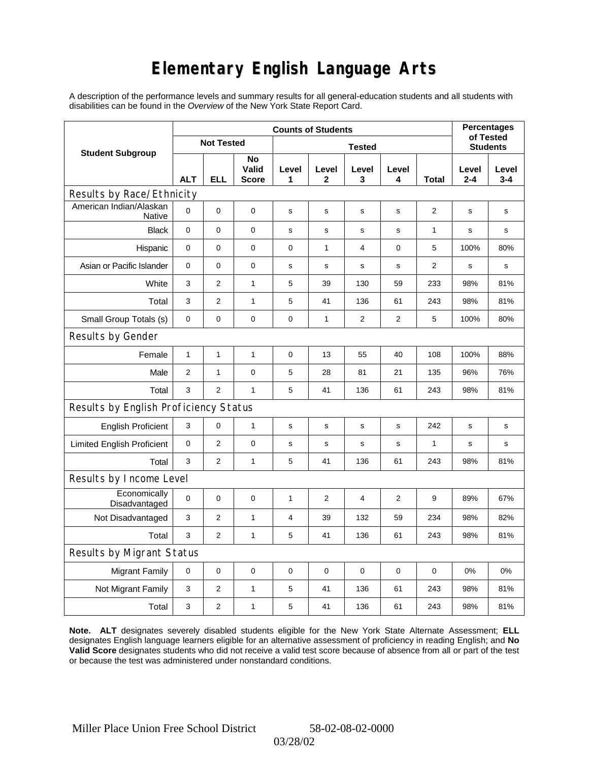# **Elementary English Language Arts**

A description of the performance levels and summary results for all general-education students and all students with disabilities can be found in the *Overview* of the New York State Report Card.

|                                          | <b>Counts of Students</b> |                   |                             |             |              |                         |                |              |                  | <b>Percentages</b><br>of Tested |
|------------------------------------------|---------------------------|-------------------|-----------------------------|-------------|--------------|-------------------------|----------------|--------------|------------------|---------------------------------|
| <b>Student Subgroup</b>                  |                           | <b>Not Tested</b> |                             |             |              | <b>Students</b>         |                |              |                  |                                 |
|                                          | <b>ALT</b>                | ELL               | No<br>Valid<br><b>Score</b> | Level<br>1  | Level<br>2   | Level<br>3              | Level<br>4     | Total        | Level<br>$2 - 4$ | Level<br>$3 - 4$                |
| Results by Race/Ethnicity                |                           |                   |                             |             |              |                         |                |              |                  |                                 |
| American Indian/Alaskan<br><b>Native</b> | $\mathbf 0$               | 0                 | 0                           | $\mathbf S$ | $\mathsf{s}$ | $\mathbf s$             | s              | 2            | $\mathbf S$      | s                               |
| <b>Black</b>                             | $\mathbf 0$               | 0                 | 0                           | s           | s            | S                       | s              | $\mathbf{1}$ | $\mathbf s$      | s                               |
| Hispanic                                 | $\mathbf 0$               | 0                 | $\pmb{0}$                   | $\pmb{0}$   | $\mathbf{1}$ | $\overline{\mathbf{4}}$ | $\pmb{0}$      | 5            | 100%             | 80%                             |
| Asian or Pacific Islander                | 0                         | 0                 | 0                           | s           | s            | $\mathbf s$             | s              | 2            | $\mathbf s$      | s                               |
| White                                    | 3                         | $\overline{2}$    | $\mathbf{1}$                | 5           | 39           | 130                     | 59             | 233          | 98%              | 81%                             |
| Total                                    | 3                         | $\overline{2}$    | $\mathbf{1}$                | 5           | 41           | 136                     | 61             | 243          | 98%              | 81%                             |
| Small Group Totals (s)                   | 0                         | 0                 | 0                           | 0           | $\mathbf{1}$ | $\overline{c}$          | 2              | 5            | 100%             | 80%                             |
| Results by Gender                        |                           |                   |                             |             |              |                         |                |              |                  |                                 |
| Female                                   | $\mathbf{1}$              | $\mathbf 1$       | $\mathbf{1}$                | $\mathbf 0$ | 13           | 55                      | 40             | 108          | 100%             | 88%                             |
| Male                                     | $\mathbf{2}$              | $\mathbf{1}$      | $\pmb{0}$                   | 5           | 28           | 81                      | 21             | 135          | 96%              | 76%                             |
| Total                                    | 3                         | $\overline{2}$    | $\mathbf{1}$                | 5           | 41           | 136                     | 61             | 243          | 98%              | 81%                             |
| Results by English Proficiency Status    |                           |                   |                             |             |              |                         |                |              |                  |                                 |
| <b>English Proficient</b>                | 3                         | 0                 | $\mathbf{1}$                | s           | s            | s                       | s              | 242          | s                | $\mathbf s$                     |
| <b>Limited English Proficient</b>        | 0                         | $\overline{2}$    | $\pmb{0}$                   | s           | s            | $\mathsf{s}$            | s              | $\mathbf{1}$ | s                | s                               |
| Total                                    | 3                         | 2                 | 1                           | 5           | 41           | 136                     | 61             | 243          | 98%              | 81%                             |
| Results by Income Level                  |                           |                   |                             |             |              |                         |                |              |                  |                                 |
| Economically<br>Disadvantaged            | $\mathbf 0$               | 0                 | $\mathbf 0$                 | 1           | 2            | 4                       | $\overline{2}$ | 9            | 89%              | 67%                             |
| Not Disadvantaged                        | 3                         | $\overline{2}$    | $\mathbf{1}$                | 4           | 39           | 132                     | 59             | 234          | 98%              | 82%                             |
| Total                                    | 3                         | $\overline{2}$    | $\mathbf{1}$                | 5           | 41           | 136                     | 61             | 243          | 98%              | 81%                             |
| Results by Migrant Status                |                           |                   |                             |             |              |                         |                |              |                  |                                 |
| <b>Migrant Family</b>                    | 0                         | 0                 | 0                           | 0           | 0            | $\mathbf 0$             | 0              | 0            | 0%               | 0%                              |
| Not Migrant Family                       | 3                         | $\overline{2}$    | $\mathbf{1}$                | 5           | 41           | 136                     | 61             | 243          | 98%              | 81%                             |
| Total                                    | 3                         | 2                 | $\mathbf{1}$                | 5           | 41           | 136                     | 61             | 243          | 98%              | 81%                             |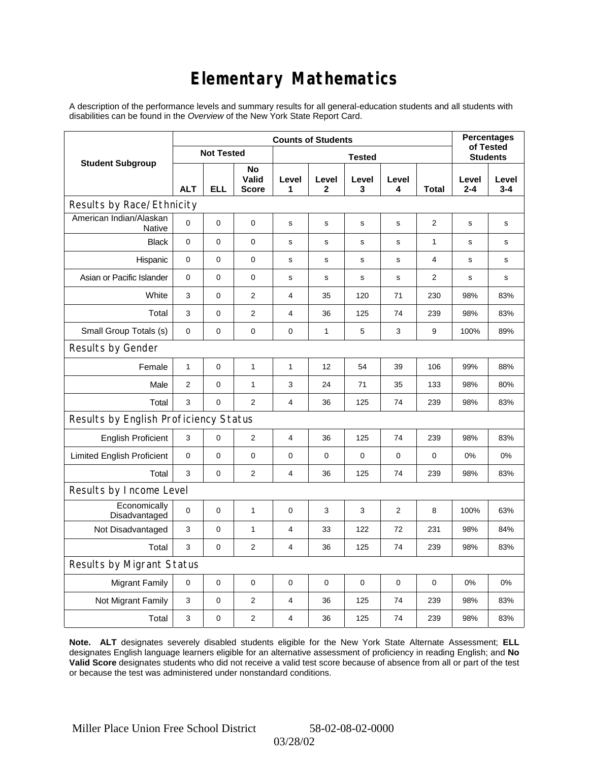# **Elementary Mathematics**

A description of the performance levels and summary results for all general-education students and all students with disabilities can be found in the *Overview* of the New York State Report Card.

|                                          | <b>Counts of Students</b> |                   |                             |                         |              |             |            |              | <b>Percentages</b><br>of Tested |                  |
|------------------------------------------|---------------------------|-------------------|-----------------------------|-------------------------|--------------|-------------|------------|--------------|---------------------------------|------------------|
| <b>Student Subgroup</b>                  |                           | <b>Not Tested</b> |                             | <b>Tested</b>           |              |             |            |              | <b>Students</b>                 |                  |
|                                          | <b>ALT</b>                | <b>ELL</b>        | No<br>Valid<br><b>Score</b> | Level<br>1              | Level<br>2   | Level<br>3  | Level<br>4 | Total        | Level<br>$2 - 4$                | Level<br>$3 - 4$ |
| Results by Race/Ethnicity                |                           |                   |                             |                         |              |             |            |              |                                 |                  |
| American Indian/Alaskan<br><b>Native</b> | 0                         | $\mathbf 0$       | $\mathbf 0$                 | s                       | s            | s           | s          | 2            | s                               | s                |
| <b>Black</b>                             | 0                         | 0                 | $\pmb{0}$                   | $\mathbf s$             | $\mathbf s$  | s           | s          | $\mathbf{1}$ | s                               | s                |
| Hispanic                                 | 0                         | 0                 | $\mathbf 0$                 | $\mathbf s$             | $\mathbf s$  | $\mathbf s$ | s          | 4            | $\mathbf s$                     | $\mathbf s$      |
| Asian or Pacific Islander                | 0                         | 0                 | $\mathbf 0$                 | $\mathbf s$             | s            | s           | s          | 2            | s                               | s                |
| White                                    | 3                         | 0                 | $\overline{2}$              | 4                       | 35           | 120         | 71         | 230          | 98%                             | 83%              |
| Total                                    | 3                         | 0                 | $\mathbf{2}$                | 4                       | 36           | 125         | 74         | 239          | 98%                             | 83%              |
| Small Group Totals (s)                   | 0                         | 0                 | $\mathbf 0$                 | $\pmb{0}$               | $\mathbf{1}$ | 5           | 3          | 9            | 100%                            | 89%              |
| Results by Gender                        |                           |                   |                             |                         |              |             |            |              |                                 |                  |
| Female                                   | $\mathbf{1}$              | $\mathsf 0$       | $\mathbf{1}$                | 1                       | 12           | 54          | 39         | 106          | 99%                             | 88%              |
| Male                                     | $\overline{2}$            | 0                 | $\mathbf{1}$                | 3                       | 24           | 71          | 35         | 133          | 98%                             | 80%              |
| Total                                    | 3                         | 0                 | 2                           | $\overline{4}$          | 36           | 125         | 74         | 239          | 98%                             | 83%              |
| Results by English Proficiency Status    |                           |                   |                             |                         |              |             |            |              |                                 |                  |
| <b>English Proficient</b>                | 3                         | 0                 | $\mathbf{2}$                | $\overline{\mathbf{4}}$ | 36           | 125         | 74         | 239          | 98%                             | 83%              |
| <b>Limited English Proficient</b>        | 0                         | 0                 | $\mathbf 0$                 | $\pmb{0}$               | $\mathbf 0$  | 0           | 0          | 0            | 0%                              | 0%               |
| Total                                    | 3                         | 0                 | 2                           | $\overline{4}$          | 36           | 125         | 74         | 239          | 98%                             | 83%              |
| Results by Income Level                  |                           |                   |                             |                         |              |             |            |              |                                 |                  |
| Economically<br>Disadvantaged            | 0                         | $\mathsf 0$       | $\mathbf{1}$                | $\mathbf 0$             | 3            | 3           | 2          | 8            | 100%                            | 63%              |
| Not Disadvantaged                        | 3                         | 0                 | $\mathbf{1}$                | $\overline{4}$          | 33           | 122         | 72         | 231          | 98%                             | 84%              |
| Total                                    | 3                         | $\mathbf 0$       | 2                           | $\overline{4}$          | 36           | 125         | 74         | 239          | 98%                             | 83%              |
| Results by Migrant Status                |                           |                   |                             |                         |              |             |            |              |                                 |                  |
| <b>Migrant Family</b>                    | $\mathbf 0$               | 0                 | $\pmb{0}$                   | $\pmb{0}$               | $\mathbf 0$  | 0           | 0          | $\mathbf 0$  | 0%                              | 0%               |
| Not Migrant Family                       | 3                         | 0                 | $\overline{2}$              | $\overline{4}$          | 36           | 125         | 74         | 239          | 98%                             | 83%              |
| Total                                    | 3                         | 0                 | $\mathbf{2}$                | $\overline{4}$          | 36           | 125         | 74         | 239          | 98%                             | 83%              |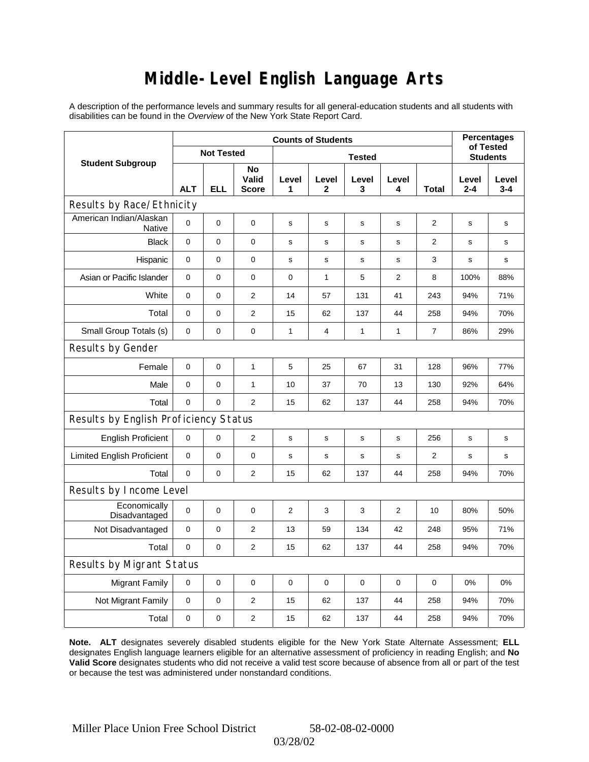### **Middle-Level English Language Arts**

A description of the performance levels and summary results for all general-education students and all students with disabilities can be found in the *Overview* of the New York State Report Card.

|                                       | <b>Counts of Students</b> |             |                             |              |                       |              |                |                |              | <b>Percentages</b><br>of Tested |  |
|---------------------------------------|---------------------------|-------------|-----------------------------|--------------|-----------------------|--------------|----------------|----------------|--------------|---------------------------------|--|
| <b>Student Subgroup</b>               | <b>Not Tested</b>         |             |                             |              | <b>Students</b>       |              |                |                |              |                                 |  |
|                                       | <b>ALT</b>                | <b>ELL</b>  | No<br>Valid<br><b>Score</b> | Level<br>1   | Level<br>$\mathbf{2}$ | Level<br>3   | Level<br>4     | Total          | Level<br>2-4 | Level<br>$3 - 4$                |  |
| Results by Race/Ethnicity             |                           |             |                             |              |                       |              |                |                |              |                                 |  |
| American Indian/Alaskan<br>Native     | $\overline{0}$            | $\mathbf 0$ | $\mathbf 0$                 | s            | s                     | s            | s              | 2              | s            | s                               |  |
| <b>Black</b>                          | $\mathbf 0$               | 0           | 0                           | s            | s                     | S            | $\mathbf s$    | $\overline{2}$ | s            | s                               |  |
| Hispanic                              | 0                         | 0           | 0                           | s            | s                     | s            | s              | 3              | s            | s                               |  |
| Asian or Pacific Islander             | $\mathbf 0$               | 0           | 0                           | $\mathbf 0$  | $\mathbf{1}$          | 5            | $\overline{c}$ | 8              | 100%         | 88%                             |  |
| White                                 | 0                         | 0           | $\overline{2}$              | 14           | 57                    | 131          | 41             | 243            | 94%          | 71%                             |  |
| Total                                 | 0                         | $\pmb{0}$   | $\overline{2}$              | 15           | 62                    | 137          | 44             | 258            | 94%          | 70%                             |  |
| Small Group Totals (s)                | 0                         | 0           | 0                           | 1            | $\overline{4}$        | $\mathbf{1}$ | 1              | $\overline{7}$ | 86%          | 29%                             |  |
| Results by Gender                     |                           |             |                             |              |                       |              |                |                |              |                                 |  |
| Female                                | $\mathbf 0$               | 0           | $\mathbf{1}$                | 5            | 25                    | 67           | 31             | 128            | 96%          | 77%                             |  |
| Male                                  | $\pmb{0}$                 | 0           | $\mathbf{1}$                | 10           | 37                    | 70           | 13             | 130            | 92%          | 64%                             |  |
| Total                                 | 0                         | 0           | $\overline{2}$              | 15           | 62                    | 137          | 44             | 258            | 94%          | 70%                             |  |
| Results by English Proficiency Status |                           |             |                             |              |                       |              |                |                |              |                                 |  |
| <b>English Proficient</b>             | 0                         | 0           | $\mathbf{2}$                | $\mathbf s$  | s                     | S            | s              | 256            | S            | s                               |  |
| <b>Limited English Proficient</b>     | 0                         | 0           | 0                           | s            | s                     | $\mathbf s$  | $\mathbf s$    | 2              | s            | s                               |  |
| Total                                 | 0                         | 0           | $\overline{2}$              | 15           | 62                    | 137          | 44             | 258            | 94%          | 70%                             |  |
| Results by Income Level               |                           |             |                             |              |                       |              |                |                |              |                                 |  |
| Economically<br>Disadvantaged         | $\mathbf 0$               | 0           | $\mathbf 0$                 | $\mathbf{2}$ | 3                     | 3            | 2              | 10             | 80%          | 50%                             |  |
| Not Disadvantaged                     | $\mathbf 0$               | 0           | $\overline{2}$              | 13           | 59                    | 134          | 42             | 248            | 95%          | 71%                             |  |
| Total                                 | $\pmb{0}$                 | 0           | $\overline{2}$              | 15           | 62                    | 137          | 44             | 258            | 94%          | 70%                             |  |
| Results by Migrant Status             |                           |             |                             |              |                       |              |                |                |              |                                 |  |
| <b>Migrant Family</b>                 | 0                         | 0           | 0                           | $\mathbf 0$  | $\mathbf 0$           | $\mathbf 0$  | 0              | 0              | 0%           | 0%                              |  |
| Not Migrant Family                    | 0                         | 0           | 2                           | 15           | 62                    | 137          | 44             | 258            | 94%          | 70%                             |  |
| Total                                 | 0                         | 0           | $\overline{2}$              | 15           | 62                    | 137          | 44             | 258            | 94%          | 70%                             |  |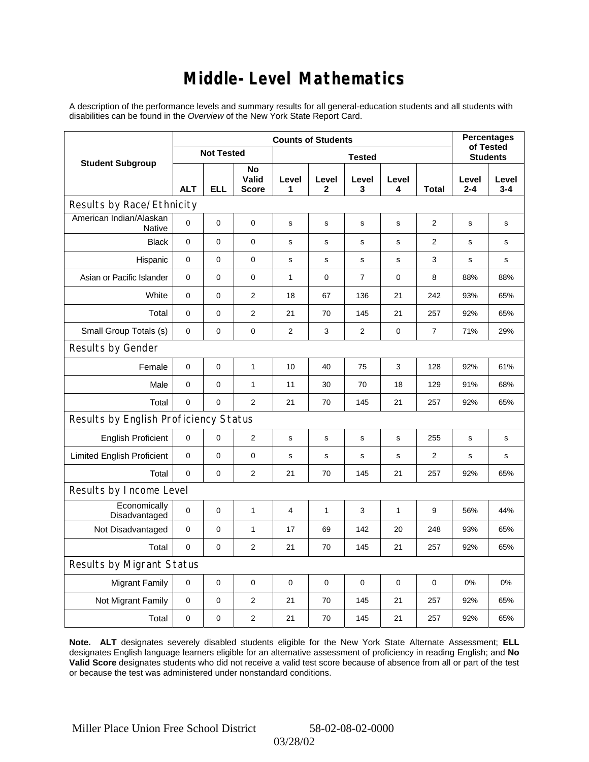### **Middle-Level Mathematics**

A description of the performance levels and summary results for all general-education students and all students with disabilities can be found in the *Overview* of the New York State Report Card.

|                                       | <b>Counts of Students</b> |                   |                             |            |                       |                |              |                 | <b>Percentages</b><br>of Tested |                  |
|---------------------------------------|---------------------------|-------------------|-----------------------------|------------|-----------------------|----------------|--------------|-----------------|---------------------------------|------------------|
| <b>Student Subgroup</b>               |                           | <b>Not Tested</b> |                             |            |                       |                |              | <b>Students</b> |                                 |                  |
|                                       | <b>ALT</b>                | <b>ELL</b>        | No<br>Valid<br><b>Score</b> | Level<br>1 | Level<br>$\mathbf{2}$ | Level<br>3     | Level<br>4   | Total           | Level<br>$2 - 4$                | Level<br>$3 - 4$ |
| Results by Race/Ethnicity             |                           |                   |                             |            |                       |                |              |                 |                                 |                  |
| American Indian/Alaskan<br>Native     | $\Omega$                  | 0                 | $\mathbf 0$                 | s          | s                     | s              | s            | $\overline{2}$  | s                               | s                |
| <b>Black</b>                          | $\mathbf 0$               | 0                 | 0                           | s          | $\mathbf s$           | s              | s            | $\overline{2}$  | $\mathbf s$                     | s                |
| Hispanic                              | $\mathbf 0$               | 0                 | $\mathbf 0$                 | s          | $\mathbf s$           | s              | s            | 3               | $\mathbf s$                     | s                |
| Asian or Pacific Islander             | 0                         | 0                 | $\pmb{0}$                   | 1          | 0                     | $\overline{7}$ | 0            | 8               | 88%                             | 88%              |
| White                                 | $\mathbf 0$               | 0                 | 2                           | 18         | 67                    | 136            | 21           | 242             | 93%                             | 65%              |
| Total                                 | $\mathbf 0$               | 0                 | $\overline{2}$              | 21         | 70                    | 145            | 21           | 257             | 92%                             | 65%              |
| Small Group Totals (s)                | $\mathbf 0$               | 0                 | 0                           | 2          | 3                     | 2              | 0            | $\overline{7}$  | 71%                             | 29%              |
| Results by Gender                     |                           |                   |                             |            |                       |                |              |                 |                                 |                  |
| Female                                | $\mathbf 0$               | 0                 | $\mathbf{1}$                | 10         | 40                    | 75             | 3            | 128             | 92%                             | 61%              |
| Male                                  | $\mathbf 0$               | 0                 | $\mathbf{1}$                | 11         | 30                    | 70             | 18           | 129             | 91%                             | 68%              |
| Total                                 | $\mathbf 0$               | 0                 | 2                           | 21         | 70                    | 145            | 21           | 257             | 92%                             | 65%              |
| Results by English Proficiency Status |                           |                   |                             |            |                       |                |              |                 |                                 |                  |
| <b>English Proficient</b>             | 0                         | 0                 | $\boldsymbol{2}$            | s          | $\mathsf{s}$          | $\mathsf{s}$   | s            | 255             | $\mathbf S$                     | s                |
| <b>Limited English Proficient</b>     | 0                         | 0                 | 0                           | s          | s                     | s              | s            | $\overline{2}$  | $\mathbf s$                     | s                |
| Total                                 | $\mathbf 0$               | 0                 | $\overline{2}$              | 21         | 70                    | 145            | 21           | 257             | 92%                             | 65%              |
| Results by Income Level               |                           |                   |                             |            |                       |                |              |                 |                                 |                  |
| Economically<br>Disadvantaged         | $\Omega$                  | 0                 | $\mathbf{1}$                | 4          | $\mathbf{1}$          | 3              | $\mathbf{1}$ | 9               | 56%                             | 44%              |
| Not Disadvantaged                     | $\mathbf 0$               | 0                 | $\mathbf{1}$                | 17         | 69                    | 142            | 20           | 248             | 93%                             | 65%              |
| Total                                 | $\mathbf 0$               | 0                 | $\mathbf{2}$                | 21         | 70                    | 145            | 21           | 257             | 92%                             | 65%              |
| Results by Migrant Status             |                           |                   |                             |            |                       |                |              |                 |                                 |                  |
| <b>Migrant Family</b>                 | $\mathbf 0$               | 0                 | $\pmb{0}$                   | $\pmb{0}$  | 0                     | 0              | 0            | 0               | 0%                              | 0%               |
| Not Migrant Family                    | $\mathbf 0$               | 0                 | $\mathbf{2}$                | 21         | 70                    | 145            | 21           | 257             | 92%                             | 65%              |
| Total                                 | $\pmb{0}$                 | 0                 | $\overline{2}$              | 21         | 70                    | 145            | 21           | 257             | 92%                             | 65%              |